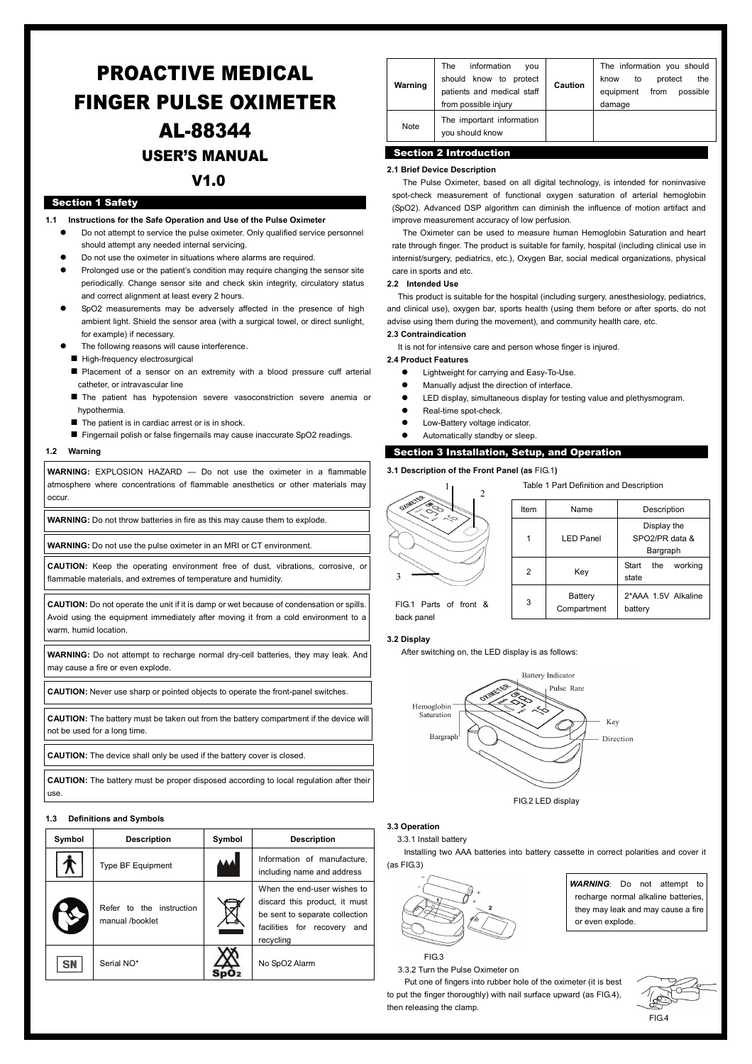# PROACTIVE MEDICAL FINGER PULSE OXIMETER [AL-88344](https://www.alcosales.com/products/88344.asp) USER'S MANUAL V1.0

#### Section 1 Safety

- **1.1 Instructions for the Safe Operation and Use of the Pulse Oximeter** 
	- Do not attempt to service the pulse oximeter. Only qualified service personnel should attempt any needed internal servicing.
	- Do not use the oximeter in situations where alarms are required.
	- Prolonged use or the patient's condition may require changing the sensor site periodically. Change sensor site and check skin integrity, circulatory status and correct alignment at least every 2 hours.
	- SpO2 measurements may be adversely affected in the presence of high ambient light. Shield the sensor area (with a surgical towel, or direct sunlight, for example) if necessary.
	- The following reasons will cause interference.
	- High-frequency electrosurgical
	- **Placement of a sensor on an extremity with a blood pressure cuff arterial** catheter, or intravascular line
	- The patient has hypotension severe vasoconstriction severe anemia or hypothermia.
	- The patient is in cardiac arrest or is in shock.
	- Fingernail polish or false fingernails may cause inaccurate SpO2 readings.

#### **1.2 Warning**

**WARNING:** EXPLOSION HAZARD — Do not use the oximeter in a flammable atmosphere where concentrations of flammable anesthetics or other materials may occur.

**WARNING:** Do not throw batteries in fire as this may cause them to explode.

**WARNING:** Do not use the pulse oximeter in an MRI or CT environment.

**CAUTION:** Keep the operating environment free of dust, vibrations, corrosive, or flammable materials, and extremes of temperature and humidity.

**CAUTION:** Do not operate the unit if it is damp or wet because of condensation or spills. Avoid using the equipment immediately after moving it from a cold environment to a warm, humid location.

**WARNING:** Do not attempt to recharge normal dry-cell batteries, they may leak. And may cause a fire or even explode.

**CAUTION:** Never use sharp or pointed objects to operate the front-panel switches.

**CAUTION:** The battery must be taken out from the battery compartment if the device will not be used for a long time.

**CAUTION:** The device shall only be used if the battery cover is closed.

**CAUTION:** The battery must be proper disposed according to local regulation after their use.

#### **1.3 Definitions and Symbols**

| Symbol | <b>Description</b>                          | Symbol    | <b>Description</b>                                                                                                                            |
|--------|---------------------------------------------|-----------|-----------------------------------------------------------------------------------------------------------------------------------------------|
|        | Type BF Equipment                           | <b>AA</b> | Information of manufacture.<br>including name and address                                                                                     |
|        | Refer to the instruction<br>manual /booklet |           | When the end-user wishes to<br>discard this product, it must<br>be sent to separate collection<br>facilities for recovery<br>and<br>recycling |
| SN     | Serial NO*                                  |           | No SpO2 Alarm                                                                                                                                 |

| Warning | information<br>The<br>vou<br>should know to protect<br>patients and medical staff<br>from possible injury | Caution | The information you should<br>the<br>protect<br>know<br>to<br>equipment<br>possible<br>from<br>damage |
|---------|-----------------------------------------------------------------------------------------------------------|---------|-------------------------------------------------------------------------------------------------------|
| Note    | The important information<br>vou should know                                                              |         |                                                                                                       |

## Section 2 Introduction

#### **2.1 Brief Device Description**

The Pulse Oximeter, based on all digital technology, is intended for noninvasive spot-check measurement of functional oxygen saturation of arterial hemoglobin (SpO2). Advanced DSP algorithm can diminish the influence of motion artifact and improve measurement accuracy of low perfusion.

The Oximeter can be used to measure human Hemoglobin Saturation and heart rate through finger. The product is suitable for family, hospital (including clinical use in internist/surgery, pediatrics, etc.), Oxygen Bar, social medical organizations, physical care in sports and etc.

#### **2.2 Intended Use**

This product is suitable for the hospital (including surgery, anesthesiology, pediatrics, and clinical use), oxygen bar, sports health (using them before or after sports, do not advise using them during the movement), and community health care, etc. **2.3 Contraindication** 

It is not for intensive care and person whose finger is injured.

#### **2.4 Product Features**

- Lightweight for carrying and Easy-To-Use.
- Manually adjust the direction of interface.
- LED display, simultaneous display for testing value and plethysmogram.
- Real-time spot-check.
- Low-Battery voltage indicator.
- Automatically standby or sleep.

#### Section 3 Installation, Setup, and Operation

#### **3.1 Description of the Front Panel (as** FIG.1**)**



|      | Item | Name                   | Description                               |
|------|------|------------------------|-------------------------------------------|
|      |      | <b>LED Panel</b>       | Display the<br>SPO2/PR data &<br>Bargraph |
|      | 2    | Key                    | working<br>Start<br>the<br>state          |
| nt & | 3    | Battery<br>Compartment | 2*AAA 1.5V Alkaline<br>battery            |

Table 1 Part Definition and Description

FIG.1 Parts of fro back panel

### **3.2 Display**

After switching on, the LED display is as follows:



#### **3.3 Operation**

3.3.1 Install battery Installing two AAA batteries into battery cassette in correct polarities and cover it (as FIG.3)

FIG.3

3.3.2 Turn the Pulse Oximeter on

Put one of fingers into rubber hole of the oximeter (it is best to put the finger thoroughly) with nail surface upward (as FIG.4), then releasing the clamp.